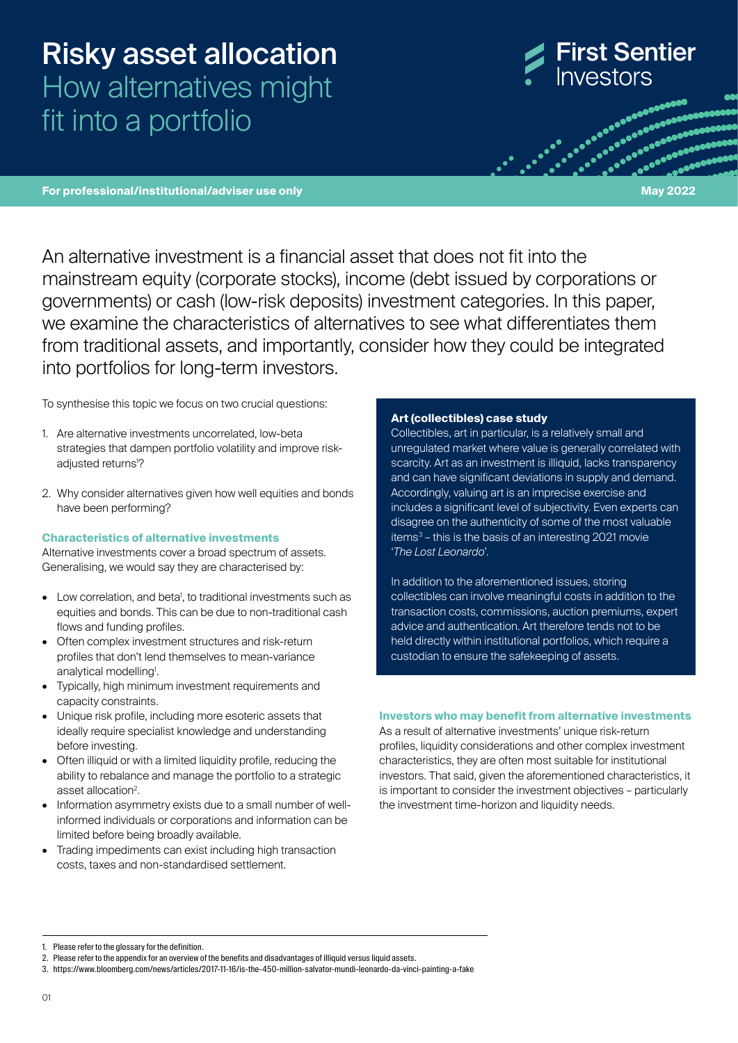# Risky asset allocation How alternatives might fit into a portfolio



**Propriet Concessed** aconoconomic<br>Conceptores

**For professional/institutional/adviser use only May 2022**

An alternative investment is a financial asset that does not fit into the mainstream equity (corporate stocks), income (debt issued by corporations or governments) or cash (low-risk deposits) investment categories. In this paper, we examine the characteristics of alternatives to see what differentiates them from traditional assets, and importantly, consider how they could be integrated into portfolios for long‑term investors.

To synthesise this topic we focus on two crucial questions:

- 1. Are alternative investments uncorrelated, low-beta strategies that dampen portfolio volatility and improve riskadjusted returns<sup>1</sup>?
- 2. Why consider alternatives given how well equities and bonds have been performing?

# **Characteristics of alternative investments**

Alternative investments cover a broad spectrum of assets. Generalising, we would say they are characterised by:

- Low correlation, and beta<sup>1</sup>, to traditional investments such as equities and bonds. This can be due to non-traditional cash flows and funding profiles.
- Often complex investment structures and risk-return profiles that don't lend themselves to mean-variance analytical modelling<sup>1</sup>.
- Typically, high minimum investment requirements and capacity constraints.
- Unique risk profile, including more esoteric assets that ideally require specialist knowledge and understanding before investing.
- Often illiquid or with a limited liquidity profile, reducing the ability to rebalance and manage the portfolio to a strategic asset allocation<sup>2</sup>.
- Information asymmetry exists due to a small number of wellinformed individuals or corporations and information can be limited before being broadly available.
- Trading impediments can exist including high transaction costs, taxes and non-standardised settlement.

# **Art (collectibles) case study**

Collectibles, art in particular, is a relatively small and unregulated market where value is generally correlated with scarcity. Art as an investment is illiquid, lacks transparency and can have significant deviations in supply and demand. Accordingly, valuing art is an imprecise exercise and includes a significant level of subjectivity. Even experts can disagree on the authenticity of some of the most valuable items3 – this is the basis of an interesting 2021 movie '*The Lost Leonardo*'.

In addition to the aforementioned issues, storing collectibles can involve meaningful costs in addition to the transaction costs, commissions, auction premiums, expert advice and authentication. Art therefore tends not to be held directly within institutional portfolios, which require a custodian to ensure the safekeeping of assets.

# **Investors who may benefit from alternative investments**

As a result of alternative investments' unique risk-return profiles, liquidity considerations and other complex investment characteristics, they are often most suitable for institutional investors. That said, given the aforementioned characteristics, it is important to consider the investment objectives – particularly the investment time-horizon and liquidity needs.

<sup>1.</sup> Please refer to the glossary for the definition.

<sup>2.</sup> Please refer to the appendix for an overview of the benefits and disadvantages of illiquid versus liquid assets.

<sup>3.</sup> https://www.bloomberg.com/news/articles/2017-11-16/is-the-450-million-salvator-mundi-leonardo-da-vinci-painting-a-fake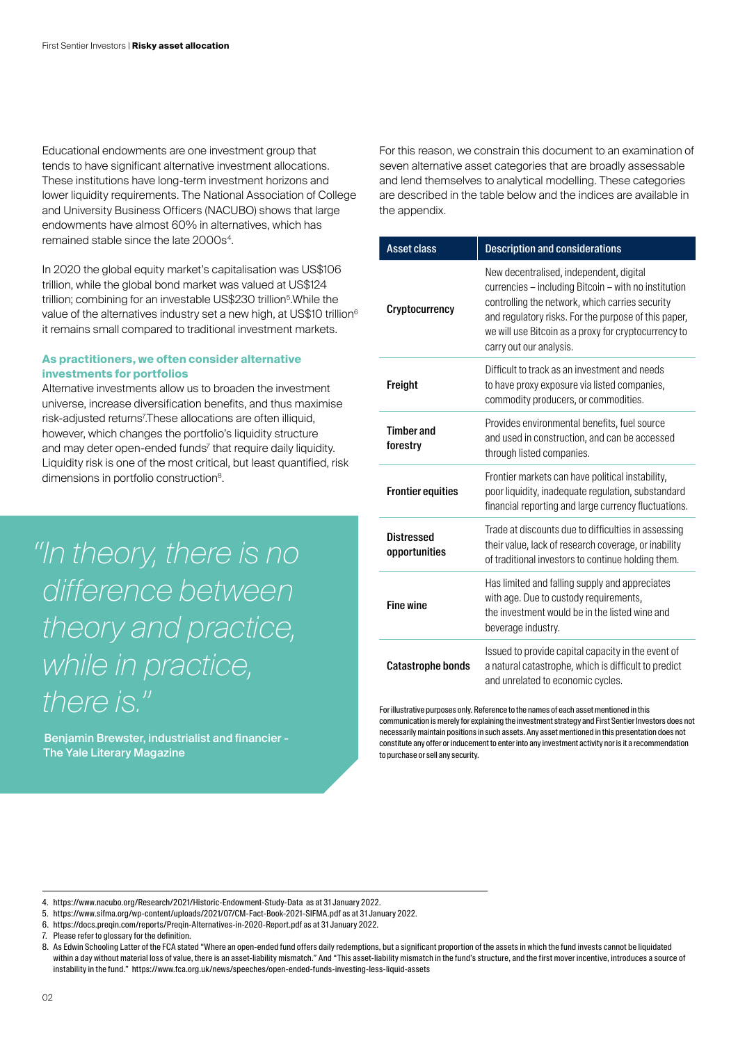Educational endowments are one investment group that tends to have significant alternative investment allocations. These institutions have long-term investment horizons and lower liquidity requirements. The National Association of College and University Business Officers (NACUBO) shows that large endowments have almost 60% in alternatives, which has remained stable since the late 2000s<sup>4</sup>.

In 2020 the global equity market's capitalisation was US\$106 trillion, while the global bond market was valued at US\$124 trillion; combining for an investable US\$230 trillion<sup>5</sup>.While the value of the alternatives industry set a new high, at US\$10 trillion<sup>6</sup> it remains small compared to traditional investment markets.

# **As practitioners, we often consider alternative investments for portfolios**

Alternative investments allow us to broaden the investment universe, increase diversification benefits, and thus maximise risk-adjusted returns<sup>7</sup> .These allocations are often illiquid, however, which changes the portfolio's liquidity structure and may deter open-ended funds' that require daily liquidity. Liquidity risk is one of the most critical, but least quantified, risk dimensions in portfolio construction<sup>8</sup>.

*"In theory, there is no difference between theory and practice, while in practice, there is."*

Benjamin Brewster, industrialist and financier - The Yale Literary Magazine

For this reason, we constrain this document to an examination of seven alternative asset categories that are broadly assessable and lend themselves to analytical modelling. These categories are described in the table below and the indices are available in the appendix.

| <b>Asset class</b>                 | <b>Description and considerations</b>                                                                                                                                                                                                                                                         |
|------------------------------------|-----------------------------------------------------------------------------------------------------------------------------------------------------------------------------------------------------------------------------------------------------------------------------------------------|
| <b>Cryptocurrency</b>              | New decentralised, independent, digital<br>currencies - including Bitcoin - with no institution<br>controlling the network, which carries security<br>and regulatory risks. For the purpose of this paper,<br>we will use Bitcoin as a proxy for cryptocurrency to<br>carry out our analysis. |
| Freight                            | Difficult to track as an investment and needs<br>to have proxy exposure via listed companies,<br>commodity producers, or commodities.                                                                                                                                                         |
| <b>Timber and</b><br>forestry      | Provides environmental benefits, fuel source<br>and used in construction, and can be accessed<br>through listed companies.                                                                                                                                                                    |
| <b>Frontier equities</b>           | Frontier markets can have political instability,<br>poor liquidity, inadequate regulation, substandard<br>financial reporting and large currency fluctuations.                                                                                                                                |
| <b>Distressed</b><br>opportunities | Trade at discounts due to difficulties in assessing<br>their value, lack of research coverage, or inability<br>of traditional investors to continue holding them.                                                                                                                             |
| <b>Fine wine</b>                   | Has limited and falling supply and appreciates<br>with age. Due to custody requirements,<br>the investment would be in the listed wine and<br>beverage industry.                                                                                                                              |
| <b>Catastrophe bonds</b>           | Issued to provide capital capacity in the event of<br>a natural catastrophe, which is difficult to predict<br>and unrelated to economic cycles.                                                                                                                                               |

For illustrative purposes only. Reference to the names of each asset mentioned in this communication is merely for explaining the investment strategy and First Sentier Investors does not necessarily maintain positions in such assets. Any asset mentioned in this presentation does not constitute any offer or inducement to enter into any investment activity nor is it a recommendation to purchase or sell any security.

5. https://www.sifma.org/wp-content/uploads/2021/07/CM-Fact-Book-2021-SIFMA.pdf as at 31 January 2022.

<sup>4.</sup> https://www.nacubo.org/Research/2021/Historic-Endowment-Study-Data as at 31 January 2022.

<sup>6.</sup> https://docs.preqin.com/reports/Preqin-Alternatives-in-2020-Report.pdf as at 31 January 2022.

<sup>7.</sup> Please refer to glossary for the definition.

<sup>8.</sup> As Edwin Schooling Latter of the FCA stated "Where an open-ended fund offers daily redemptions, but a significant proportion of the assets in which the fund invests cannot be liquidated within a day without material loss of value, there is an asset-liability mismatch." And "This asset-liability mismatch in the fund's structure, and the first mover incentive, introduces a source of instability in the fund." https://www.fca.org.uk/news/speeches/open-ended-funds-investing-less-liquid-assets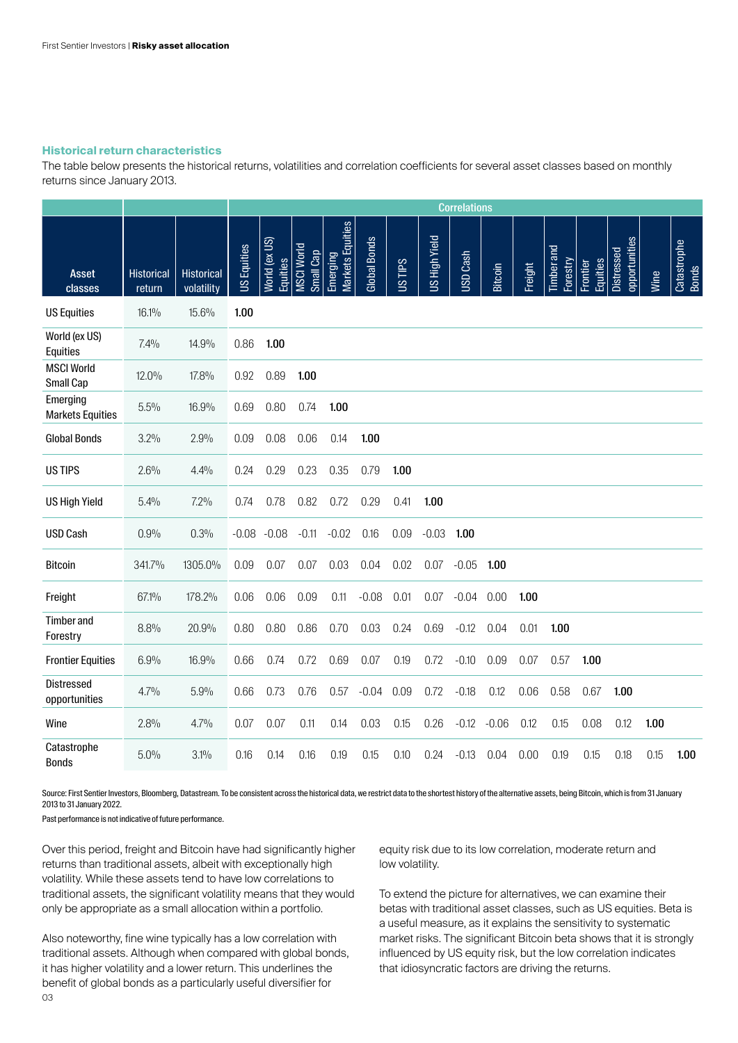# **Historical return characteristics**

The table below presents the historical returns, volatilities and correlation coefficients for several asset classes based on monthly returns since January 2013.

|                                     |                             |                                 | <b>Correlations</b> |                           |                                |                              |              |         |                      |                 |                |         |                               |                      |                             |      |                             |
|-------------------------------------|-----------------------------|---------------------------------|---------------------|---------------------------|--------------------------------|------------------------------|--------------|---------|----------------------|-----------------|----------------|---------|-------------------------------|----------------------|-----------------------------|------|-----------------------------|
| <b>Asset</b><br>classes             | <b>Historical</b><br>return | <b>Historical</b><br>volatility | <b>US Equities</b>  | World (ex US)<br>Equities | <b>MSCI World</b><br>Small Cap | Markets Equities<br>Emerging | Global Bonds | Sall Sn | <b>US High Yield</b> | <b>USD Cash</b> | <b>Bitcoin</b> | Freight | <b>Timber</b> and<br>Forestry | Equities<br>Frontier | opportunities<br>Distressed | Wine | Catastrophe<br><b>Bonds</b> |
| <b>US Equities</b>                  | 16.1%                       | 15.6%                           | 1.00                |                           |                                |                              |              |         |                      |                 |                |         |                               |                      |                             |      |                             |
| World (ex US)<br>Equities           | 7.4%                        | 14.9%                           | 0.86                | 1.00                      |                                |                              |              |         |                      |                 |                |         |                               |                      |                             |      |                             |
| <b>MSCI World</b><br>Small Cap      | 12.0%                       | 17.8%                           | 0.92                | 0.89                      | 1.00                           |                              |              |         |                      |                 |                |         |                               |                      |                             |      |                             |
| Emerging<br><b>Markets Equities</b> | 5.5%                        | 16.9%                           | 0.69                | 0.80                      | 0.74                           | 1.00                         |              |         |                      |                 |                |         |                               |                      |                             |      |                             |
| <b>Global Bonds</b>                 | 3.2%                        | 2.9%                            | 0.09                | 0.08                      | 0.06                           | 0.14                         | 1.00         |         |                      |                 |                |         |                               |                      |                             |      |                             |
| <b>US TIPS</b>                      | 2.6%                        | 4.4%                            | 0.24                | 0.29                      | 0.23                           | 0.35                         | 0.79         | 1.00    |                      |                 |                |         |                               |                      |                             |      |                             |
| <b>US High Yield</b>                | 5.4%                        | 7.2%                            | 0.74                | 0.78                      | 0.82                           | 0.72                         | 0.29         | 0.41    | 1.00                 |                 |                |         |                               |                      |                             |      |                             |
| <b>USD Cash</b>                     | 0.9%                        | 0.3%                            | $-0.08$             | $-0.08$                   | $-0.11$                        | $-0.02$                      | 0.16         | 0.09    | $-0.03$              | 1.00            |                |         |                               |                      |                             |      |                             |
| <b>Bitcoin</b>                      | 341.7%                      | 1305.0%                         | 0.09                | 0.07                      | 0.07                           | 0.03                         | 0.04         | 0.02    | 0.07                 | $-0.05$         | 1.00           |         |                               |                      |                             |      |                             |
| Freight                             | 67.1%                       | 178.2%                          | 0.06                | 0.06                      | 0.09                           | 0.11                         | $-0.08$      | 0.01    | 0.07                 | $-0.04$         | 0.00           | 1.00    |                               |                      |                             |      |                             |
| <b>Timber and</b><br>Forestry       | 8.8%                        | 20.9%                           | 0.80                | 0.80                      | 0.86                           | 0.70                         | 0.03         | 0.24    | 0.69                 | $-0.12$         | 0.04           | 0.01    | 1.00                          |                      |                             |      |                             |
| <b>Frontier Equities</b>            | 6.9%                        | 16.9%                           | 0.66                | 0.74                      | 0.72                           | 0.69                         | 0.07         | 0.19    | 0.72                 | $-0.10$         | 0.09           | 0.07    | 0.57                          | 1.00                 |                             |      |                             |
| <b>Distressed</b><br>opportunities  | 4.7%                        | 5.9%                            | 0.66                | 0.73                      | 0.76                           | 0.57                         | $-0.04$      | 0.09    | 0.72                 | $-0.18$         | 0.12           | 0.06    | 0.58                          | 0.67                 | 1.00                        |      |                             |
| Wine                                | 2.8%                        | 4.7%                            | 0.07                | 0.07                      | 0.11                           | 0.14                         | 0.03         | 0.15    | 0.26                 | $-0.12$         | $-0.06$        | 0.12    | 0.15                          | 0.08                 | 0.12                        | 1.00 |                             |
| Catastrophe<br><b>Bonds</b>         | 5.0%                        | $3.1\%$                         | 0.16                | 0.14                      | 0.16                           | 0.19                         | 0.15         | 0.10    | 0.24                 | $-0.13$         | 0.04           | 0.00    | 0.19                          | 0.15                 | 0.18                        | 0.15 | 1.00                        |

Source: First Sentier Investors, Bloomberg, Datastream. To be consistent across the historical data, we restrict data to the shortest history of the alternative assets, being Bitcoin, which is from 31 January 2013 to 31 January 2022.

Past performance is not indicative of future performance.

Over this period, freight and Bitcoin have had significantly higher returns than traditional assets, albeit with exceptionally high volatility. While these assets tend to have low correlations to traditional assets, the significant volatility means that they would only be appropriate as a small allocation within a portfolio.

Also noteworthy, fine wine typically has a low correlation with traditional assets. Although when compared with global bonds, it has higher volatility and a lower return. This underlines the benefit of global bonds as a particularly useful diversifier for 03

equity risk due to its low correlation, moderate return and low volatility.

To extend the picture for alternatives, we can examine their betas with traditional asset classes, such as US equities. Beta is a useful measure, as it explains the sensitivity to systematic market risks. The significant Bitcoin beta shows that it is strongly influenced by US equity risk, but the low correlation indicates that idiosyncratic factors are driving the returns.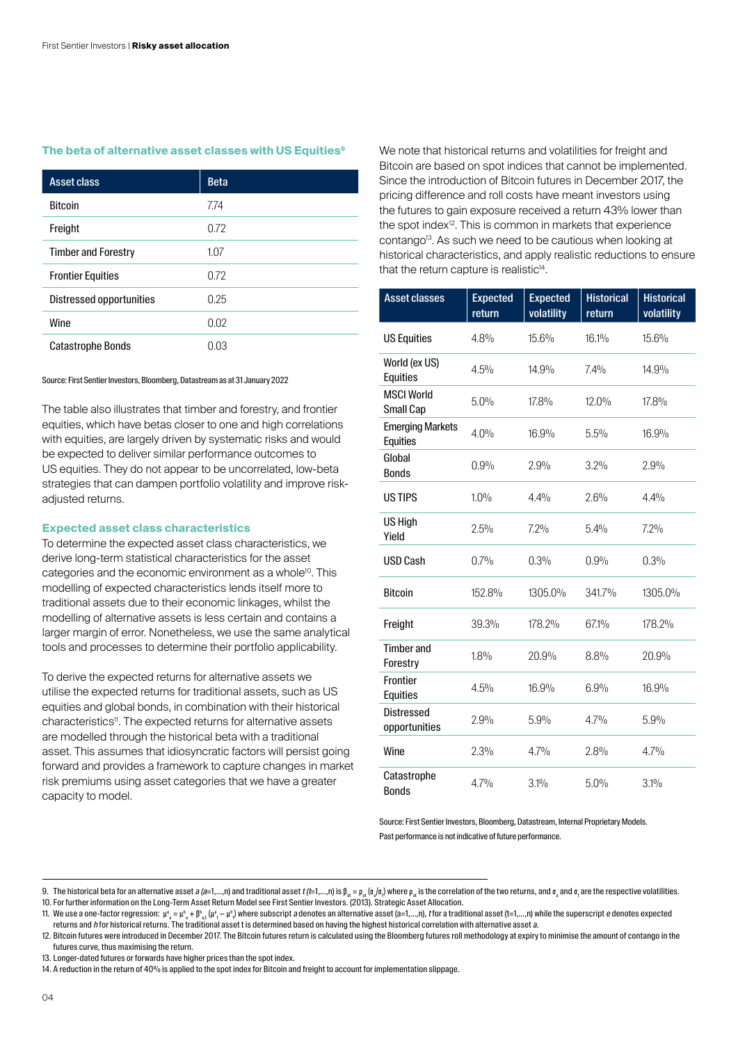# **The beta of alternative asset classes with US Equities9**

| <b>Asset class</b>         | <b>Beta</b> |
|----------------------------|-------------|
| <b>Bitcoin</b>             | 7.74        |
| Freight                    | 0.72        |
| <b>Timber and Forestry</b> | 1.07        |
| <b>Frontier Equities</b>   | 0.72        |
| Distressed opportunities   | 0.25        |
| Wine                       | 0.02        |
| <b>Catastrophe Bonds</b>   | 0.03        |

#### Source: First Sentier Investors, Bloomberg, Datastream as at 31 January 2022

The table also illustrates that timber and forestry, and frontier equities, which have betas closer to one and high correlations with equities, are largely driven by systematic risks and would be expected to deliver similar performance outcomes to US equities. They do not appear to be uncorrelated, low-beta strategies that can dampen portfolio volatility and improve riskadiusted returns.

# **Expected asset class characteristics**

To determine the expected asset class characteristics, we derive long-term statistical characteristics for the asset categories and the economic environment as a whole<sup>10</sup>. This modelling of expected characteristics lends itself more to traditional assets due to their economic linkages, whilst the modelling of alternative assets is less certain and contains a larger margin of error. Nonetheless, we use the same analytical tools and processes to determine their portfolio applicability.

To derive the expected returns for alternative assets we utilise the expected returns for traditional assets, such as US equities and global bonds, in combination with their historical characteristics<sup>11</sup>. The expected returns for alternative assets are modelled through the historical beta with a traditional asset. This assumes that idiosyncratic factors will persist going forward and provides a framework to capture changes in market risk premiums using asset categories that we have a greater capacity to model.

We note that historical returns and volatilities for freight and Bitcoin are based on spot indices that cannot be implemented. Since the introduction of Bitcoin futures in December 2017, the pricing difference and roll costs have meant investors using the futures to gain exposure received a return 43% lower than the spot index<sup>12</sup>. This is common in markets that experience contango<sup>13</sup>. As such we need to be cautious when looking at historical characteristics, and apply realistic reductions to ensure that the return capture is realistic $14$ .

| <b>Asset classes</b>                       | <b>Expected</b><br>return | <b>Expected</b><br>volatility | <b>Historical</b><br>return | <b>Historical</b><br>volatility |
|--------------------------------------------|---------------------------|-------------------------------|-----------------------------|---------------------------------|
| <b>US Equities</b>                         | 4.8%                      | 15.6%                         | 16.1%                       | 15.6%                           |
| World (ex US)<br><b>Equities</b>           | 4.5%                      | 14.9%                         | 7.4%                        | 14.9%                           |
| <b>MSCI World</b><br>Small Cap             | 5.0%                      | 17.8%                         | $12.0\%$                    | 17.8%                           |
| <b>Emerging Markets</b><br><b>Equities</b> | 4.0%                      | 16.9%                         | 5.5%                        | 16.9%                           |
| Global<br><b>Bonds</b>                     | 0.9%                      | 2.9%                          | 3.2%                        | 2.9%                            |
| <b>USTIPS</b>                              | $1.0\%$                   | 4.4%                          | 2.6%                        | 4.4%                            |
| US High<br>Yield                           | 2.5%                      | $7.2\%$                       | 5.4%                        | 7.2%                            |
| <b>USD Cash</b>                            | 0.7%                      | 0.3%                          | 0.9%                        | 0.3%                            |
| <b>Bitcoin</b>                             | 152.8%                    | 1305.0%                       | 341.7%                      | 1305.0%                         |
| Freight                                    | 39.3%                     | 178.2%                        | 67.1%                       | 178.2%                          |
| <b>Timber</b> and<br>Forestry              | 1.8%                      | 20.9%                         | 8.8%                        | 20.9%                           |
| <b>Frontier</b><br>Equities                | 4.5%                      | 16.9%                         | 6.9%                        | 16.9%                           |
| <b>Distressed</b><br>opportunities         | 2.9%                      | 5.9%                          | $4.7\%$                     | 5.9%                            |
| Wine                                       | 2.3%                      | 4.7%                          | 2.8%                        | 4.7%                            |
| Catastrophe<br><b>Bonds</b>                | $4.7\%$                   | $3.1\%$                       | 5.0%                        | 3.1%                            |

Source: First Sentier Investors, Bloomberg, Datastream, Internal Proprietary Models. Past performance is not indicative of future performance.

<sup>9.</sup> The historical beta for an alternative asset *a (a*=1,…,n) and traditional asset *t (t*=1,…,n) is β<sub>at</sub> = p<sub>at</sub> (σ<sub>a</sub>/σ<sub>e</sub>) where p<sub>at</sub> is the correlation of the two returns, and σ<sub>a</sub> and σ<sub>a</sub> and t and the respective 10. For further information on the Long-Term Asset Return Model see First Sentier Investors. (2013). Strategic Asset Allocation.

<sup>11.</sup> We use a one-factor regression:  $\mu^{\rm s}_{{\rm s}}=\mu^{\rm b}_{{\rm s}+} \mu^{\rm p}_{{\rm s}_1\mu^{\rm e}_1}-\mu^{\rm b}_{{\rm b}_1\mu^{\rm e}_1}-\mu^{\rm b}_{{\rm b}_1\mu^{\rm e}_2}$  where subscript a denotes an alternative asset (a=1,…,n), ffor a traditional asset (t=1,…, returns and h for historical returns. The traditional asset t is determined based on having the highest historical correlation with alternative asset a.

<sup>12.</sup> Bitcoin futures were introduced in December 2017. The Bitcoin futures return is calculated using the Bloomberg futures roll methodology at expiry to minimise the amount of contango in the futures curve, thus maximising the return.

<sup>13.</sup> Longer-dated futures or forwards have higher prices than the spot index.

<sup>14.</sup> A reduction in the return of 40% is applied to the spot index for Bitcoin and freight to account for implementation slippage.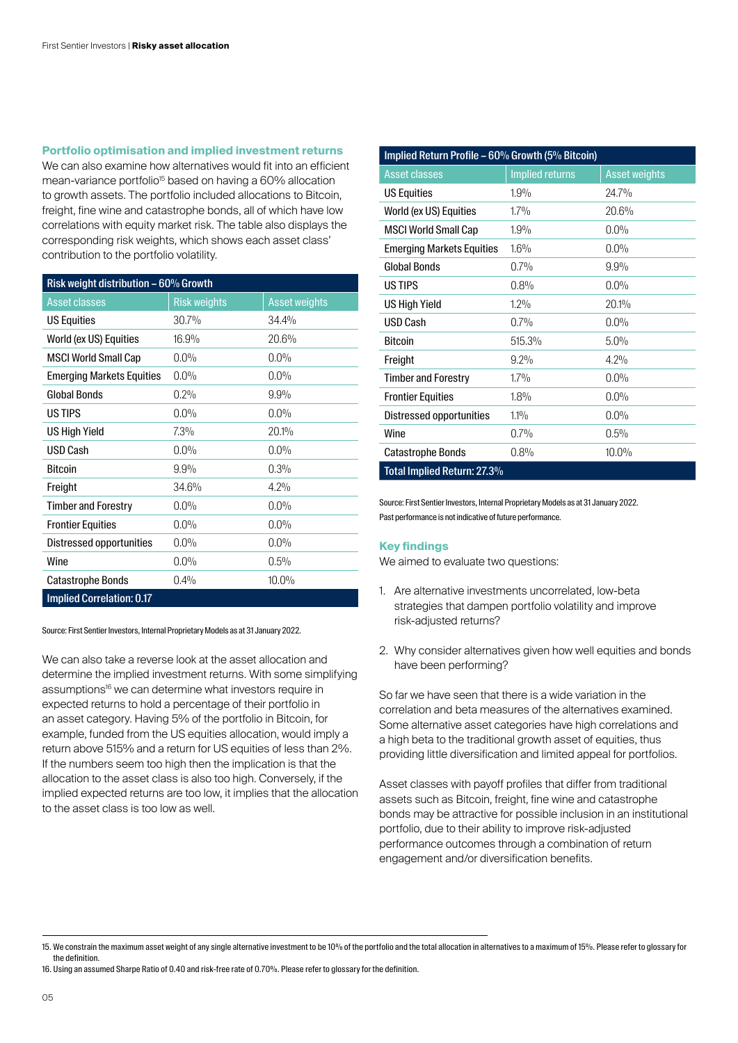# **Portfolio optimisation and implied investment returns**

We can also examine how alternatives would fit into an efficient mean-variance portfolio<sup>15</sup> based on having a 60% allocation to growth assets. The portfolio included allocations to Bitcoin, freight, fine wine and catastrophe bonds, all of which have low correlations with equity market risk. The table also displays the corresponding risk weights, which shows each asset class' contribution to the portfolio volatility.

| Risk weight distribution $-60\%$ Growth |                     |                      |  |  |  |  |  |
|-----------------------------------------|---------------------|----------------------|--|--|--|--|--|
| <b>Asset classes</b>                    | <b>Risk weights</b> | <b>Asset weights</b> |  |  |  |  |  |
| <b>US Equities</b>                      | 30.7%               | 34.4%                |  |  |  |  |  |
| World (ex US) Equities                  | 16.9%               | 20.6%                |  |  |  |  |  |
| <b>MSCI World Small Cap</b>             | $0.0\%$             | $0.0\%$              |  |  |  |  |  |
| <b>Emerging Markets Equities</b>        | $0.0\%$             | $0.0\%$              |  |  |  |  |  |
| <b>Global Bonds</b>                     | 0.2%                | $9.9\%$              |  |  |  |  |  |
| <b>US TIPS</b>                          | $0.0\%$             | $0.0\%$              |  |  |  |  |  |
| <b>US High Yield</b>                    | 7.3%                | 20.1%                |  |  |  |  |  |
| USD Cash                                | $0.0\%$             | $0.0\%$              |  |  |  |  |  |
| <b>Bitcoin</b>                          | 9.9%                | 0.3%                 |  |  |  |  |  |
| Freight                                 | 34.6%               | 4.2%                 |  |  |  |  |  |
| <b>Timber and Forestry</b>              | $0.0\%$             | $0.0\%$              |  |  |  |  |  |
| <b>Frontier Equities</b>                | $0.0\%$             | $0.0\%$              |  |  |  |  |  |
| <b>Distressed opportunities</b>         | $0.0\%$             | $0.0\%$              |  |  |  |  |  |
| Wine                                    | $0.0\%$             | 0.5%                 |  |  |  |  |  |
| <b>Catastrophe Bonds</b>                | 0.4%                | 10.0%                |  |  |  |  |  |
| <b>Implied Correlation: 0.17</b>        |                     |                      |  |  |  |  |  |

Source: First Sentier Investors, Internal Proprietary Models as at 31 January 2022.

We can also take a reverse look at the asset allocation and determine the implied investment returns. With some simplifying assumptions<sup>16</sup> we can determine what investors require in expected returns to hold a percentage of their portfolio in an asset category. Having 5% of the portfolio in Bitcoin, for example, funded from the US equities allocation, would imply a return above 515% and a return for US equities of less than 2%. If the numbers seem too high then the implication is that the allocation to the asset class is also too high. Conversely, if the implied expected returns are too low, it implies that the allocation to the asset class is too low as well.

| Implied Return Profile - 60% Growth (5% Bitcoin) |                        |                      |  |  |  |  |  |
|--------------------------------------------------|------------------------|----------------------|--|--|--|--|--|
| <b>Asset classes</b>                             | <b>Implied returns</b> | <b>Asset weights</b> |  |  |  |  |  |
| <b>US Equities</b>                               | 1.9%                   | 24.7%                |  |  |  |  |  |
| World (ex US) Equities                           | $1.7\%$                | 20.6%                |  |  |  |  |  |
| <b>MSCI World Small Cap</b>                      | 1.9%                   | $0.0\%$              |  |  |  |  |  |
| <b>Emerging Markets Equities</b>                 | $1.6\%$                | $0.0\%$              |  |  |  |  |  |
| <b>Global Bonds</b>                              | $0.7\%$                | 9.9%                 |  |  |  |  |  |
| US TIPS                                          | 0.8%                   | $0.0\%$              |  |  |  |  |  |
| <b>US High Yield</b>                             | $1.2\%$                | 20.1%                |  |  |  |  |  |
| <b>USD Cash</b>                                  | 0.7%                   | 0.0%                 |  |  |  |  |  |
| <b>Bitcoin</b>                                   | 515.3%                 | $5.0\%$              |  |  |  |  |  |
| Freight                                          | $9.2\%$                | 4.2%                 |  |  |  |  |  |
| <b>Timber and Forestry</b>                       | $1.7\%$                | 0.0%                 |  |  |  |  |  |
| <b>Frontier Equities</b>                         | 1.8%                   | 0.0%                 |  |  |  |  |  |
| Distressed opportunities                         | $1.1\%$                | $0.0\%$              |  |  |  |  |  |
| Wine                                             | 0.7%                   | 0.5%                 |  |  |  |  |  |
| <b>Catastrophe Bonds</b>                         | 0.8%                   | $10.0\%$             |  |  |  |  |  |
| Total Implied Return: 27.3%                      |                        |                      |  |  |  |  |  |

Source: First Sentier Investors, Internal Proprietary Models as at 31 January 2022. Past performance is not indicative of future performance.

## **Key findings**

We aimed to evaluate two questions:

- 1. Are alternative investments uncorrelated, low-beta strategies that dampen portfolio volatility and improve risk‑adjusted returns?
- 2. Why consider alternatives given how well equities and bonds have been performing?

So far we have seen that there is a wide variation in the correlation and beta measures of the alternatives examined. Some alternative asset categories have high correlations and a high beta to the traditional growth asset of equities, thus providing little diversification and limited appeal for portfolios.

Asset classes with payoff profiles that differ from traditional assets such as Bitcoin, freight, fine wine and catastrophe bonds may be attractive for possible inclusion in an institutional portfolio, due to their ability to improve risk-adjusted performance outcomes through a combination of return engagement and/or diversification benefits.

<sup>15.</sup> We constrain the maximum asset weight of any single alternative investment to be 10% of the portfolio and the total allocation in alternatives to a maximum of 15%. Please refer to glossary for the definition.

<sup>16.</sup> Using an assumed Sharpe Ratio of 0.40 and risk-free rate of 0.70%. Please refer to glossary for the definition.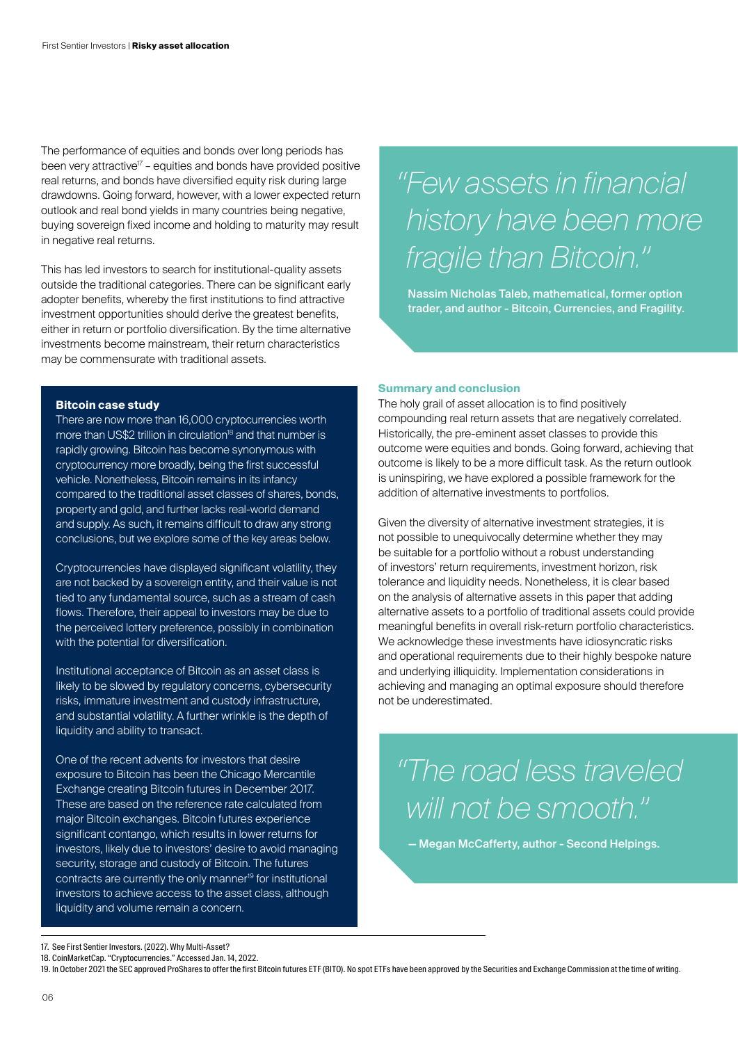The performance of equities and bonds over long periods has been very attractive<sup> $17$ </sup> – equities and bonds have provided positive real returns, and bonds have diversified equity risk during large drawdowns. Going forward, however, with a lower expected return outlook and real bond yields in many countries being negative, buying sovereign fixed income and holding to maturity may result in negative real returns.

This has led investors to search for institutional-quality assets outside the traditional categories. There can be significant early adopter benefits, whereby the first institutions to find attractive investment opportunities should derive the greatest benefits, either in return or portfolio diversification. By the time alternative investments become mainstream, their return characteristics may be commensurate with traditional assets.

# **Bitcoin case study**

There are now more than 16,000 cryptocurrencies worth more than US\$2 trillion in circulation<sup>18</sup> and that number is rapidly growing. Bitcoin has become synonymous with cryptocurrency more broadly, being the first successful vehicle. Nonetheless, Bitcoin remains in its infancy compared to the traditional asset classes of shares, bonds, property and gold, and further lacks real-world demand and supply. As such, it remains difficult to draw any strong conclusions, but we explore some of the key areas below.

Cryptocurrencies have displayed significant volatility, they are not backed by a sovereign entity, and their value is not tied to any fundamental source, such as a stream of cash flows. Therefore, their appeal to investors may be due to the perceived lottery preference, possibly in combination with the potential for diversification.

Institutional acceptance of Bitcoin as an asset class is likely to be slowed by regulatory concerns, cybersecurity risks, immature investment and custody infrastructure, and substantial volatility. A further wrinkle is the depth of liquidity and ability to transact.

One of the recent advents for investors that desire exposure to Bitcoin has been the Chicago Mercantile Exchange creating Bitcoin futures in December 2017. These are based on the reference rate calculated from major Bitcoin exchanges. Bitcoin futures experience significant contango, which results in lower returns for investors, likely due to investors' desire to avoid managing security, storage and custody of Bitcoin. The futures contracts are currently the only manner<sup>19</sup> for institutional investors to achieve access to the asset class, although liquidity and volume remain a concern.

# *"Few assets in financial history have been more fragile than Bitcoin."*

Nassim Nicholas Taleb, mathematical, former option trader, and author - Bitcoin, Currencies, and Fragility.

# **Summary and conclusion**

The holy grail of asset allocation is to find positively compounding real return assets that are negatively correlated. Historically, the pre-eminent asset classes to provide this outcome were equities and bonds. Going forward, achieving that outcome is likely to be a more difficult task. As the return outlook is uninspiring, we have explored a possible framework for the addition of alternative investments to portfolios.

Given the diversity of alternative investment strategies, it is not possible to unequivocally determine whether they may be suitable for a portfolio without a robust understanding of investors' return requirements, investment horizon, risk tolerance and liquidity needs. Nonetheless, it is clear based on the analysis of alternative assets in this paper that adding alternative assets to a portfolio of traditional assets could provide meaningful benefits in overall risk-return portfolio characteristics. We acknowledge these investments have idiosyncratic risks and operational requirements due to their highly bespoke nature and underlying illiquidity. Implementation considerations in achieving and managing an optimal exposure should therefore not be underestimated.

*"The road less traveled will not be smooth."*

— Megan McCafferty, author - Second Helpings.

<sup>17.</sup> See First Sentier Investors. (2022). Why Multi-Asset?

<sup>18.</sup> CoinMarketCap. "Cryptocurrencies." Accessed Jan. 14, 2022.

<sup>19.</sup> In October 2021 the SEC approved ProShares to offer the first Bitcoin futures ETF (BITO). No spot ETFs have been approved by the Securities and Exchange Commission at the time of writing.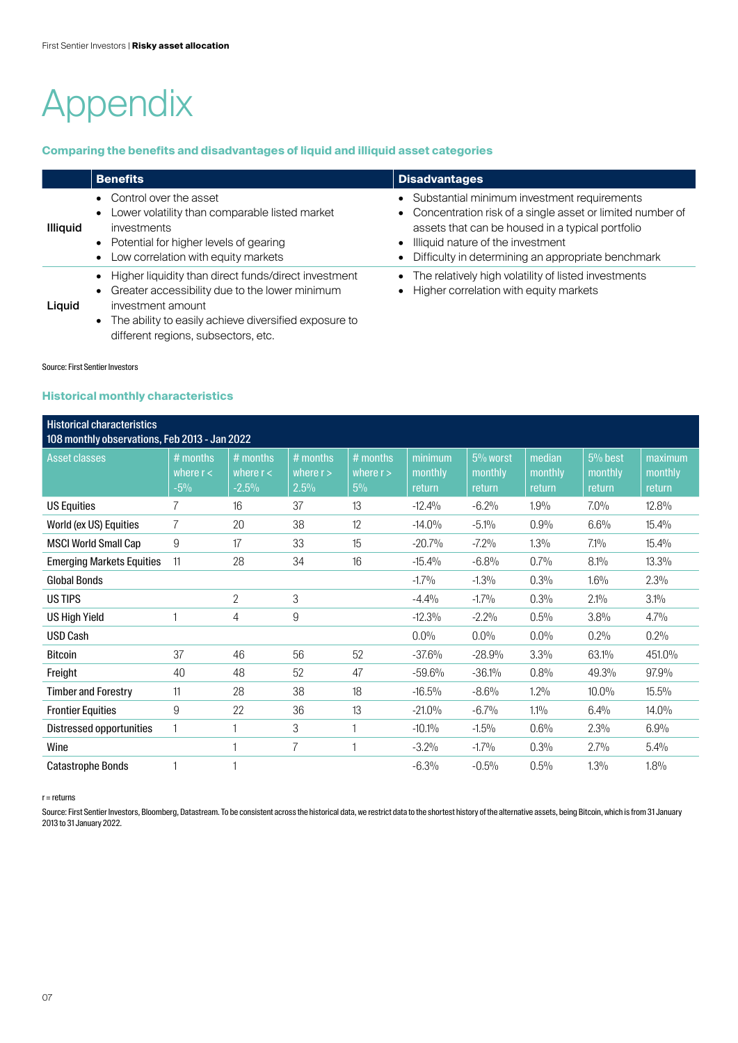# Appendix

# **Comparing the benefits and disadvantages of liquid and illiquid asset categories**

|                 | <b>Benefits</b>                                                                                                                                                                                   | <b>Disadvantages</b>                                                                                                                                                                                                                                          |
|-----------------|---------------------------------------------------------------------------------------------------------------------------------------------------------------------------------------------------|---------------------------------------------------------------------------------------------------------------------------------------------------------------------------------------------------------------------------------------------------------------|
| <b>Illiquid</b> | • Control over the asset<br>Lower volatility than comparable listed market<br>investments<br>• Potential for higher levels of gearing<br>Low correlation with equity markets                      | • Substantial minimum investment requirements<br>• Concentration risk of a single asset or limited number of<br>assets that can be housed in a typical portfolio<br>• Illiquid nature of the investment<br>Difficulty in determining an appropriate benchmark |
| Liguid          | Higher liquidity than direct funds/direct investment<br>Greater accessibility due to the lower minimum<br>$\bullet$<br>investment amount<br>The ability to easily achieve diversified exposure to | The relatively high volatility of listed investments<br>• Higher correlation with equity markets                                                                                                                                                              |

#### Source: First Sentier Investors

# **Historical monthly characteristics**

different regions, subsectors, etc.

| <b>Historical characteristics</b><br>108 monthly observations, Feb 2013 - Jan 2022 |                                  |                                      |                                   |                                  |                              |                               |                             |                                |                              |
|------------------------------------------------------------------------------------|----------------------------------|--------------------------------------|-----------------------------------|----------------------------------|------------------------------|-------------------------------|-----------------------------|--------------------------------|------------------------------|
| <b>Asset classes</b>                                                               | # months<br>where $r <$<br>$-5%$ | $#$ months<br>where $r <$<br>$-2.5%$ | $#$ months<br>where $r >$<br>2.5% | # months<br>where $r >$<br>$5\%$ | minimum<br>monthly<br>return | 5% worst<br>monthly<br>return | median<br>monthly<br>return | $5%$ best<br>monthly<br>return | maximum<br>monthly<br>return |
| <b>US Equities</b>                                                                 |                                  | 16                                   | 37                                | 13                               | $-12.4%$                     | $-6.2%$                       | 1.9%                        | $7.0\%$                        | 12.8%                        |
| World (ex US) Equities                                                             | 7                                | 20                                   | 38                                | 12                               | $-14.0%$                     | $-5.1%$                       | 0.9%                        | 6.6%                           | 15.4%                        |
| <b>MSCI World Small Cap</b>                                                        | 9                                | 17                                   | 33                                | 15                               | $-20.7%$                     | $-7.2%$                       | 1.3%                        | $7.1\%$                        | 15.4%                        |
| <b>Emerging Markets Equities</b>                                                   | 11                               | 28                                   | 34                                | 16                               | $-15.4%$                     | $-6.8%$                       | 0.7%                        | $8.1\%$                        | 13.3%                        |
| <b>Global Bonds</b>                                                                |                                  |                                      |                                   |                                  | $-1.7%$                      | $-1.3%$                       | 0.3%                        | $1.6\%$                        | 2.3%                         |
| US TIPS                                                                            |                                  | 2                                    | 3                                 |                                  | $-4.4%$                      | $-1.7%$                       | 0.3%                        | $2.1\%$                        | 3.1%                         |
| <b>US High Yield</b>                                                               |                                  | 4                                    | 9                                 |                                  | $-12.3%$                     | $-2.2%$                       | 0.5%                        | 3.8%                           | 4.7%                         |
| <b>USD Cash</b>                                                                    |                                  |                                      |                                   |                                  | 0.0%                         | 0.0%                          | $0.0\%$                     | 0.2%                           | 0.2%                         |
| <b>Bitcoin</b>                                                                     | 37                               | 46                                   | 56                                | 52                               | $-37.6%$                     | $-28.9%$                      | 3.3%                        | 63.1%                          | 451.0%                       |
| Freight                                                                            | 40                               | 48                                   | 52                                | 47                               | $-59.6%$                     | $-36.1%$                      | 0.8%                        | 49.3%                          | 97.9%                        |
| <b>Timber and Forestry</b>                                                         | 11                               | 28                                   | 38                                | 18                               | $-16.5%$                     | $-8.6%$                       | 1.2%                        | $10.0\%$                       | 15.5%                        |
| <b>Frontier Equities</b>                                                           | 9                                | 22                                   | 36                                | 13                               | $-21.0%$                     | $-6.7%$                       | $1.1\%$                     | 6.4%                           | $14.0\%$                     |
| Distressed opportunities                                                           |                                  |                                      | 3                                 |                                  | $-10.1%$                     | $-1.5%$                       | 0.6%                        | 2.3%                           | 6.9%                         |
| Wine                                                                               |                                  |                                      | 7                                 | f                                | $-3.2%$                      | $-1.7%$                       | 0.3%                        | 2.7%                           | 5.4%                         |
| <b>Catastrophe Bonds</b>                                                           |                                  |                                      |                                   |                                  | $-6.3%$                      | $-0.5%$                       | 0.5%                        | 1.3%                           | 1.8%                         |

#### $r =$  returns

Source: First Sentier Investors, Bloomberg, Datastream. To be consistent across the historical data, we restrict data to the shortest history of the alternative assets, being Bitcoin, which is from 31 January 2013 to 31 January 2022.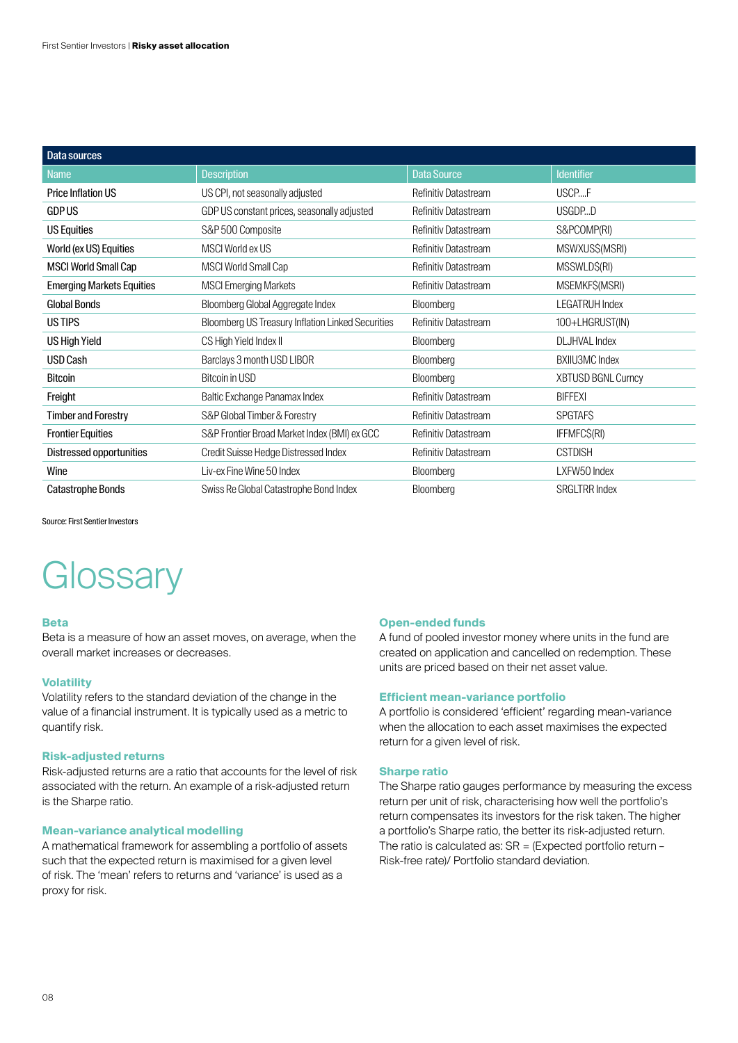| Data sources                     |                                                   |                             |                           |
|----------------------------------|---------------------------------------------------|-----------------------------|---------------------------|
| <b>Name</b>                      | <b>Description</b>                                | <b>Data Source</b>          | <b>Identifier</b>         |
| <b>Price Inflation US</b>        | US CPI, not seasonally adjusted                   | <b>Refinitiv Datastream</b> | USCPF                     |
| <b>GDP US</b>                    | GDP US constant prices, seasonally adjusted       | Refinitiv Datastream        | USGDPD                    |
| <b>US Equities</b>               | S&P 500 Composite                                 | <b>Refinitiv Datastream</b> | S&PCOMP(RI)               |
| World (ex US) Equities           | MSCI World ex US                                  | <b>Refinitiv Datastream</b> | MSWXUS\$(MSRI)            |
| <b>MSCI World Small Cap</b>      | <b>MSCI World Small Cap</b>                       | Refinitiv Datastream        | MSSWLD\$(RI)              |
| <b>Emerging Markets Equities</b> | <b>MSCI Emerging Markets</b>                      | Refinitiv Datastream        | MSEMKF\$(MSRI)            |
| <b>Global Bonds</b>              | Bloomberg Global Aggregate Index                  | Bloomberg                   | <b>LEGATRUH Index</b>     |
| US TIPS                          | Bloomberg US Treasury Inflation Linked Securities | <b>Refinitiv Datastream</b> | 100+LHGRUST(IN)           |
| <b>US High Yield</b>             | CS High Yield Index II                            | Bloomberg                   | <b>DLJHVAL Index</b>      |
| <b>USD Cash</b>                  | Barclays 3 month USD LIBOR                        | Bloomberg                   | <b>BXIIU3MC Index</b>     |
| <b>Bitcoin</b>                   | Bitcoin in USD                                    | Bloomberg                   | <b>XBTUSD BGNL Curncy</b> |
| Freight                          | Baltic Exchange Panamax Index                     | <b>Refinitiv Datastream</b> | <b>BIFFEXI</b>            |
| <b>Timber and Forestry</b>       | S&P Global Timber & Forestry                      | Refinitiv Datastream        | <b>SPGTAFS</b>            |
| <b>Frontier Equities</b>         | S&P Frontier Broad Market Index (BMI) ex GCC      | Refinitiv Datastream        | IFFMFC\$(RI)              |
| Distressed opportunities         | Credit Suisse Hedge Distressed Index              | Refinitiv Datastream        | <b>CSTDISH</b>            |
| Wine                             | Liv-ex Fine Wine 50 Index                         | Bloomberg                   | LXFW50 Index              |
| <b>Catastrophe Bonds</b>         | Swiss Re Global Catastrophe Bond Index            | Bloomberg                   | <b>SRGLTRR Index</b>      |

Source: First Sentier Investors

# **Glossary**

## **Beta**

Beta is a measure of how an asset moves, on average, when the overall market increases or decreases.

# **Volatility**

Volatility refers to the standard deviation of the change in the value of a financial instrument. It is typically used as a metric to quantify risk.

# **Risk-adjusted returns**

Risk-adjusted returns are a ratio that accounts for the level of risk associated with the return. An example of a risk-adjusted return is the Sharpe ratio.

# **Mean-variance analytical modelling**

A mathematical framework for assembling a portfolio of assets such that the expected return is maximised for a given level of risk. The 'mean' refers to returns and 'variance' is used as a proxy for risk.

## **Open-ended funds**

A fund of pooled investor money where units in the fund are created on application and cancelled on redemption. These units are priced based on their net asset value.

## **Efficient mean-variance portfolio**

A portfolio is considered 'efficient' regarding mean-variance when the allocation to each asset maximises the expected return for a given level of risk.

# **Sharpe ratio**

The Sharpe ratio gauges performance by measuring the excess return per unit of risk, characterising how well the portfolio's return compensates its investors for the risk taken. The higher a portfolio's Sharpe ratio, the better its risk-adjusted return. The ratio is calculated as: SR = (Expected portfolio return – Risk‑free rate)/ Portfolio standard deviation.